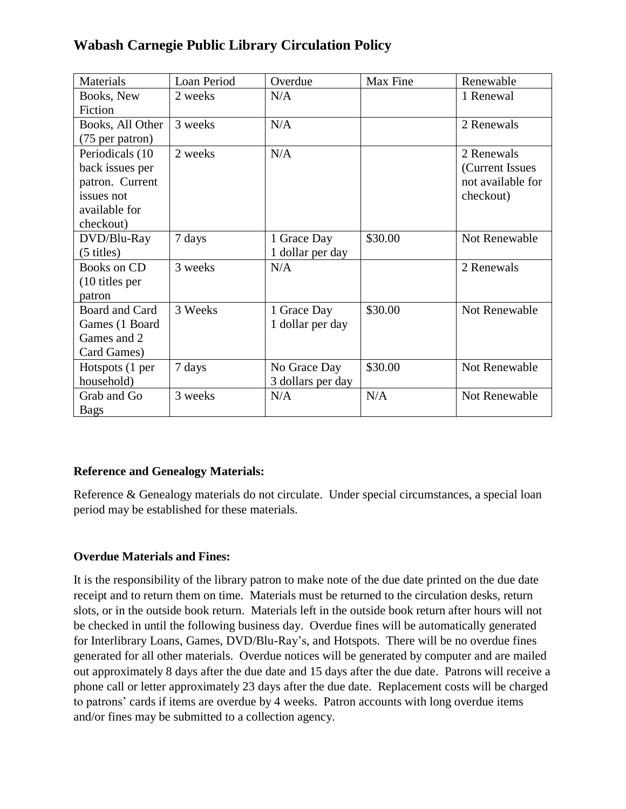# **Wabash Carnegie Public Library Circulation Policy**

| Materials            | Loan Period | Overdue           | Max Fine | Renewable         |
|----------------------|-------------|-------------------|----------|-------------------|
| Books, New           | 2 weeks     | N/A               |          | 1 Renewal         |
| Fiction              |             |                   |          |                   |
| Books, All Other     | 3 weeks     | N/A               |          | 2 Renewals        |
| (75 per patron)      |             |                   |          |                   |
| Periodicals (10      | 2 weeks     | N/A               |          | 2 Renewals        |
| back issues per      |             |                   |          | (Current Issues)  |
| patron. Current      |             |                   |          | not available for |
| issues not           |             |                   |          | checkout)         |
| available for        |             |                   |          |                   |
| checkout)            |             |                   |          |                   |
| DVD/Blu-Ray          | 7 days      | 1 Grace Day       | \$30.00  | Not Renewable     |
| $(5 \text{ titles})$ |             | 1 dollar per day  |          |                   |
| <b>Books on CD</b>   | 3 weeks     | N/A               |          | 2 Renewals        |
| $(10$ titles per     |             |                   |          |                   |
| patron               |             |                   |          |                   |
| Board and Card       | 3 Weeks     | 1 Grace Day       | \$30.00  | Not Renewable     |
| Games (1 Board       |             | 1 dollar per day  |          |                   |
| Games and 2          |             |                   |          |                   |
| Card Games)          |             |                   |          |                   |
| Hotspots (1 per      | 7 days      | No Grace Day      | \$30.00  | Not Renewable     |
| household)           |             | 3 dollars per day |          |                   |
| Grab and Go          | 3 weeks     | N/A               | N/A      | Not Renewable     |
| <b>Bags</b>          |             |                   |          |                   |

## **Reference and Genealogy Materials:**

Reference & Genealogy materials do not circulate. Under special circumstances, a special loan period may be established for these materials.

## **Overdue Materials and Fines:**

It is the responsibility of the library patron to make note of the due date printed on the due date receipt and to return them on time. Materials must be returned to the circulation desks, return slots, or in the outside book return. Materials left in the outside book return after hours will not be checked in until the following business day. Overdue fines will be automatically generated for Interlibrary Loans, Games, DVD/Blu-Ray's, and Hotspots. There will be no overdue fines generated for all other materials. Overdue notices will be generated by computer and are mailed out approximately 8 days after the due date and 15 days after the due date. Patrons will receive a phone call or letter approximately 23 days after the due date. Replacement costs will be charged to patrons' cards if items are overdue by 4 weeks. Patron accounts with long overdue items and/or fines may be submitted to a collection agency.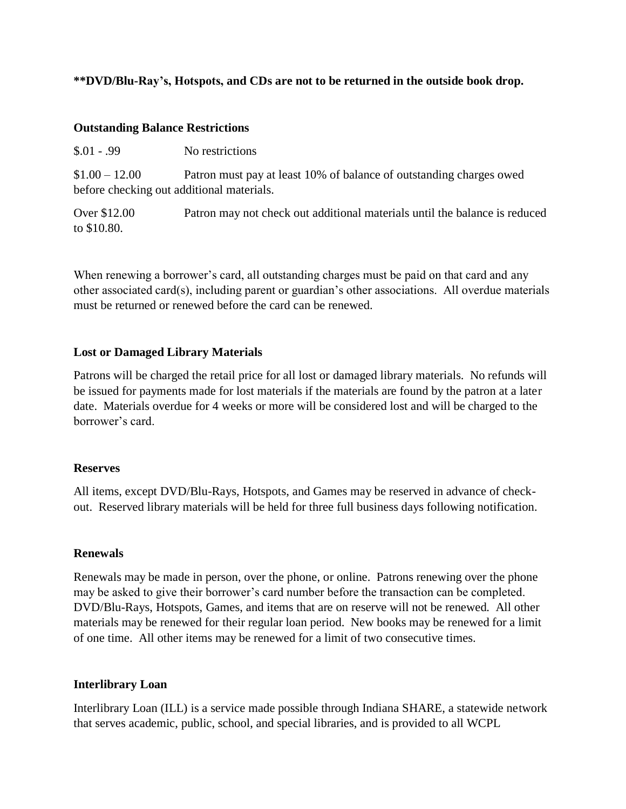## **\*\*DVD/Blu-Ray's, Hotspots, and CDs are not to be returned in the outside book drop.**

#### **Outstanding Balance Restrictions**

| $$.01-.99$ | No restrictions |
|------------|-----------------|
|            |                 |

\$1.00 – 12.00 Patron must pay at least 10% of balance of outstanding charges owed before checking out additional materials.

Over \$12.00 Patron may not check out additional materials until the balance is reduced to \$10.80.

When renewing a borrower's card, all outstanding charges must be paid on that card and any other associated card(s), including parent or guardian's other associations. All overdue materials must be returned or renewed before the card can be renewed.

## **Lost or Damaged Library Materials**

Patrons will be charged the retail price for all lost or damaged library materials. No refunds will be issued for payments made for lost materials if the materials are found by the patron at a later date. Materials overdue for 4 weeks or more will be considered lost and will be charged to the borrower's card.

#### **Reserves**

All items, except DVD/Blu-Rays, Hotspots, and Games may be reserved in advance of checkout. Reserved library materials will be held for three full business days following notification.

#### **Renewals**

Renewals may be made in person, over the phone, or online. Patrons renewing over the phone may be asked to give their borrower's card number before the transaction can be completed. DVD/Blu-Rays, Hotspots, Games, and items that are on reserve will not be renewed. All other materials may be renewed for their regular loan period. New books may be renewed for a limit of one time. All other items may be renewed for a limit of two consecutive times.

## **Interlibrary Loan**

Interlibrary Loan (ILL) is a service made possible through Indiana SHARE, a statewide network that serves academic, public, school, and special libraries, and is provided to all WCPL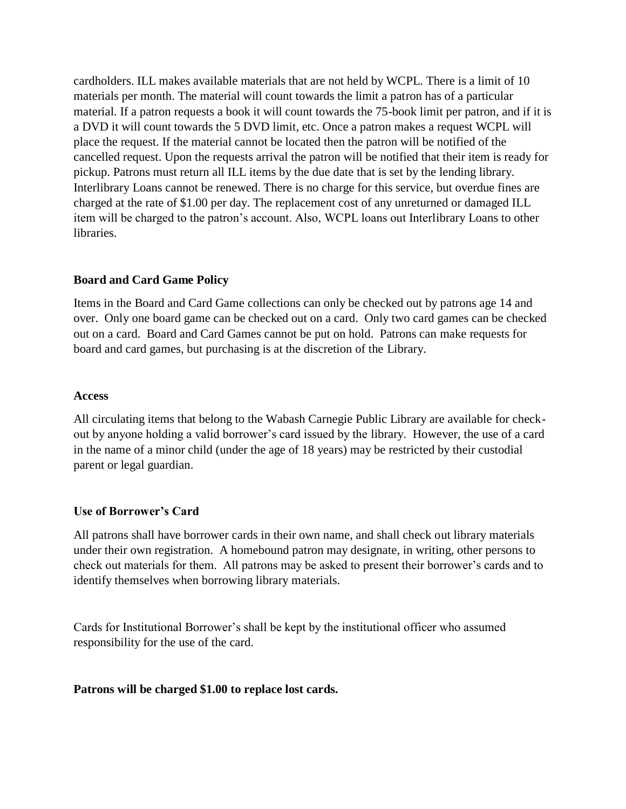cardholders. ILL makes available materials that are not held by WCPL. There is a limit of 10 materials per month. The material will count towards the limit a patron has of a particular material. If a patron requests a book it will count towards the 75-book limit per patron, and if it is a DVD it will count towards the 5 DVD limit, etc. Once a patron makes a request WCPL will place the request. If the material cannot be located then the patron will be notified of the cancelled request. Upon the requests arrival the patron will be notified that their item is ready for pickup. Patrons must return all ILL items by the due date that is set by the lending library. Interlibrary Loans cannot be renewed. There is no charge for this service, but overdue fines are charged at the rate of \$1.00 per day. The replacement cost of any unreturned or damaged ILL item will be charged to the patron's account. Also, WCPL loans out Interlibrary Loans to other libraries.

## **Board and Card Game Policy**

Items in the Board and Card Game collections can only be checked out by patrons age 14 and over. Only one board game can be checked out on a card. Only two card games can be checked out on a card. Board and Card Games cannot be put on hold. Patrons can make requests for board and card games, but purchasing is at the discretion of the Library.

## **Access**

All circulating items that belong to the Wabash Carnegie Public Library are available for checkout by anyone holding a valid borrower's card issued by the library. However, the use of a card in the name of a minor child (under the age of 18 years) may be restricted by their custodial parent or legal guardian.

## **Use of Borrower's Card**

All patrons shall have borrower cards in their own name, and shall check out library materials under their own registration. A homebound patron may designate, in writing, other persons to check out materials for them. All patrons may be asked to present their borrower's cards and to identify themselves when borrowing library materials.

Cards for Institutional Borrower's shall be kept by the institutional officer who assumed responsibility for the use of the card.

#### **Patrons will be charged \$1.00 to replace lost cards.**